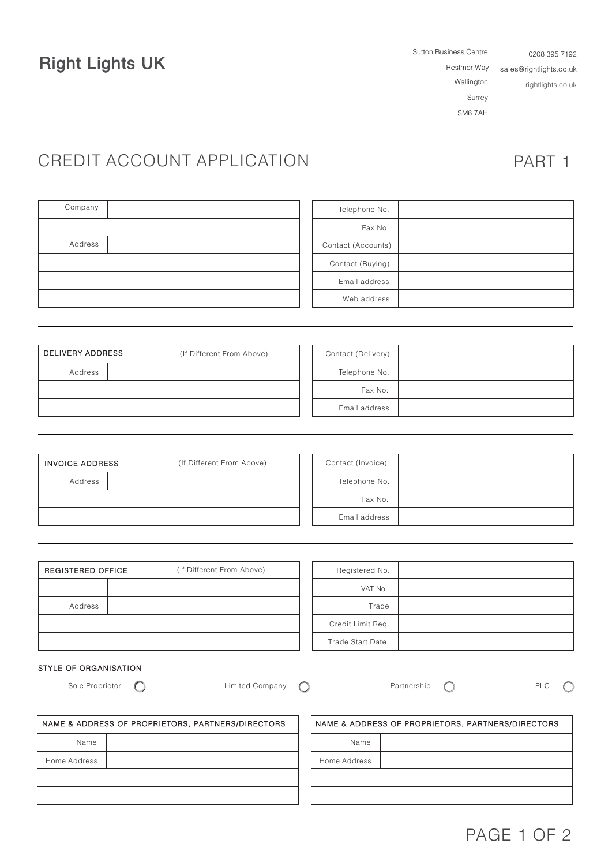Right Lights UK Restmor Way

Sutton Business Centre Wallington Surrey SM6 7AH 0208 395 7192 sales@rightlights.co.uk rightlights.co.uk

# CREDIT ACCOUNT APPLICATION PART 1

| Company | Telephone No.      |
|---------|--------------------|
|         | Fax No.            |
| Address | Contact (Accounts) |
|         | Contact (Buying)   |
|         | Email address      |
|         | Web address        |

| DELIVERY ADDRESS | (If Different From Above) | Contact (Delivery) |  |
|------------------|---------------------------|--------------------|--|
| Address          |                           | Telephone No.      |  |
|                  |                           | Fax No.            |  |
|                  |                           | Email address      |  |

| <b>INVOICE ADDRESS</b> | (If Different From Above) | Contact (Invoice) |  |
|------------------------|---------------------------|-------------------|--|
| Address                |                           | Telephone No.     |  |
|                        |                           | Fax No.           |  |
|                        |                           | Email address     |  |

| (If Different From Above)<br><b>REGISTERED OFFICE</b> |  | Registered No.    |  |
|-------------------------------------------------------|--|-------------------|--|
|                                                       |  | VAT No.           |  |
| Address                                               |  | Trade             |  |
|                                                       |  | Credit Limit Req. |  |
|                                                       |  | Trade Start Date. |  |

### STYLE OF ORGANISATION

Sole Proprietor  $\bigcirc$  Limited Company  $\bigcirc$  Partnership  $\bigcirc$  PLC  $\bigcirc$ 

| NAME & ADDRESS OF PROPRIETORS, PARTNERS/DIRECTORS | NAME & ADDRESS OF PROPRIETORS, PARTNERS/DIRECTORS |  |  |
|---------------------------------------------------|---------------------------------------------------|--|--|
| Name                                              | Name                                              |  |  |
| Home Address                                      | Home Address                                      |  |  |
|                                                   |                                                   |  |  |
|                                                   |                                                   |  |  |